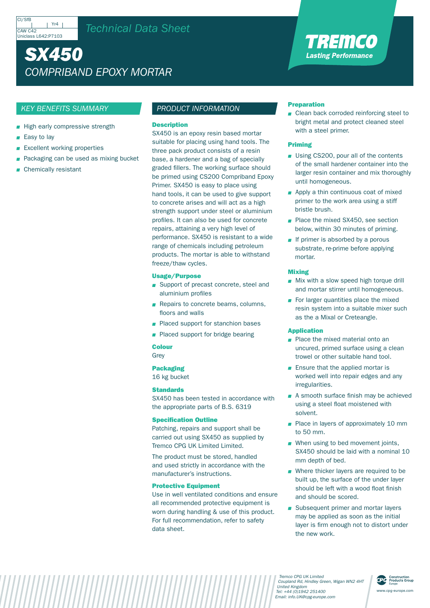# *SX450 COMPRIBAND EPOXY MORTAR*

# *KEY BENEFITS SUMMARY*

- High early compressive strength
- Easy to lay
- **Excellent working properties**
- Packaging can be used as mixing bucket
- Chemically resistant

# *PRODUCT INFORMATION*

#### **Description**

SX450 is an epoxy resin based mortar suitable for placing using hand tools. The three pack product consists of a resin base, a hardener and a bag of specially graded fillers. The working surface should be primed using CS200 Compriband Epoxy Primer. SX450 is easy to place using hand tools, it can be used to give support to concrete arises and will act as a high strength support under steel or aluminium profiles. It can also be used for concrete repairs, attaining a very high level of performance. SX450 is resistant to a wide range of chemicals including petroleum products. The mortar is able to withstand freeze/thaw cycles.

## Usage/Purpose

- Support of precast concrete, steel and aluminium profiles
- Repairs to concrete beams, columns, floors and walls
- **Placed support for stanchion bases**
- **Placed support for bridge bearing**

#### Colour

Grey

Packaging

16 kg bucket

# **Standards**

SX450 has been tested in accordance with the appropriate parts of B.S. 6319

# Specification Outline

Patching, repairs and support shall be carried out using SX450 as supplied by Tremco CPG UK Limited Limited.

The product must be stored, handled and used strictly in accordance with the manufacturer's instructions.

# Protective Equipment

Use in well ventilated conditions and ensure all recommended protective equipment is worn during handling & use of this product. For full recommendation, refer to safety data sheet.

# Preparation

■ Clean back corroded reinforcing steel to bright metal and protect cleaned steel with a steel primer.

TREMCO **Lasting Performance** 

## Priming

- Using CS200, pour all of the contents of the small hardener container into the larger resin container and mix thoroughly until homogeneous.
- **Apply a thin continuous coat of mixed** primer to the work area using a stiff bristle brush.
- Place the mixed SX450, see section below, within 30 minutes of priming.
- $\blacksquare$  If primer is absorbed by a porous substrate, re-prime before applying mortar.

#### Mixing

- Mix with a slow speed high torque drill and mortar stirrer until homogeneous.
- For larger quantities place the mixed resin system into a suitable mixer such as the a Mixal or Creteangle.

#### Application

- **Place the mixed material onto an** uncured, primed surface using a clean trowel or other suitable hand tool.
- **Ensure that the applied mortar is** worked well into repair edges and any irregularities.
- A smooth surface finish may be achieved using a steel float moistened with solvent.
- Place in layers of approximately 10 mm to 50 mm.
- When using to bed movement joints, SX450 should be laid with a nominal 10 mm depth of bed.
- Where thicker layers are required to be built up, the surface of the under layer should be left with a wood float finish and should be scored.
- Subsequent primer and mortar layers may be applied as soon as the initial layer is firm enough not to distort under the new work.